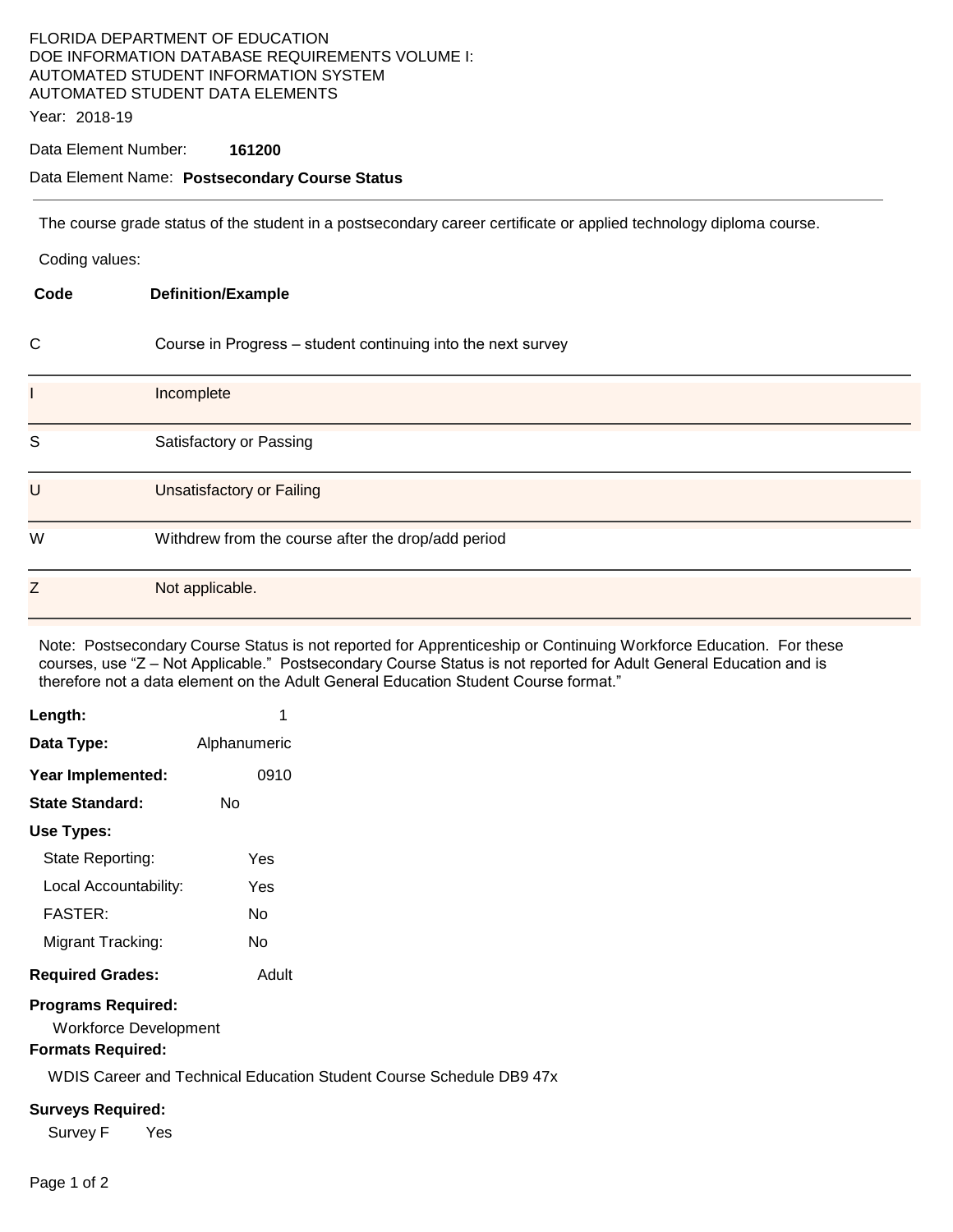## FLORIDA DEPARTMENT OF EDUCATION DOE INFORMATION DATABASE REQUIREMENTS VOLUME I: AUTOMATED STUDENT INFORMATION SYSTEM AUTOMATED STUDENT DATA ELEMENTS

Year: 2018-19

#### Data Element Number: **161200**

#### Data Element Name: **Postsecondary Course Status**

The course grade status of the student in a postsecondary career certificate or applied technology diploma course.

Coding values:

| Code         | <b>Definition/Example</b>                                    |
|--------------|--------------------------------------------------------------|
| $\mathsf{C}$ | Course in Progress - student continuing into the next survey |
| L            | Incomplete                                                   |
| S            | Satisfactory or Passing                                      |
| $\cup$       | Unsatisfactory or Failing                                    |
| W            | Withdrew from the course after the drop/add period           |
| Z            | Not applicable.                                              |

Note: Postsecondary Course Status is not reported for Apprenticeship or Continuing Workforce Education. For these courses, use "Z – Not Applicable." Postsecondary Course Status is not reported for Adult General Education and is therefore not a data element on the Adult General Education Student Course format."

| Length:                                                   | 1            |  |
|-----------------------------------------------------------|--------------|--|
| Data Type:                                                | Alphanumeric |  |
| Year Implemented:                                         | 0910         |  |
| <b>State Standard:</b>                                    | N٥           |  |
| Use Types:                                                |              |  |
| State Reporting:                                          | Yes          |  |
| Local Accountability:                                     | Yes          |  |
| <b>FASTER:</b>                                            | N٥           |  |
| Migrant Tracking:                                         | N٥           |  |
| <b>Required Grades:</b>                                   | Adult        |  |
| <b>Programs Required:</b><br><b>Workforce Development</b> |              |  |

### **Formats Required:**

WDIS Career and Technical Education Student Course Schedule DB9 47x

#### **Surveys Required:**

Survey F Yes